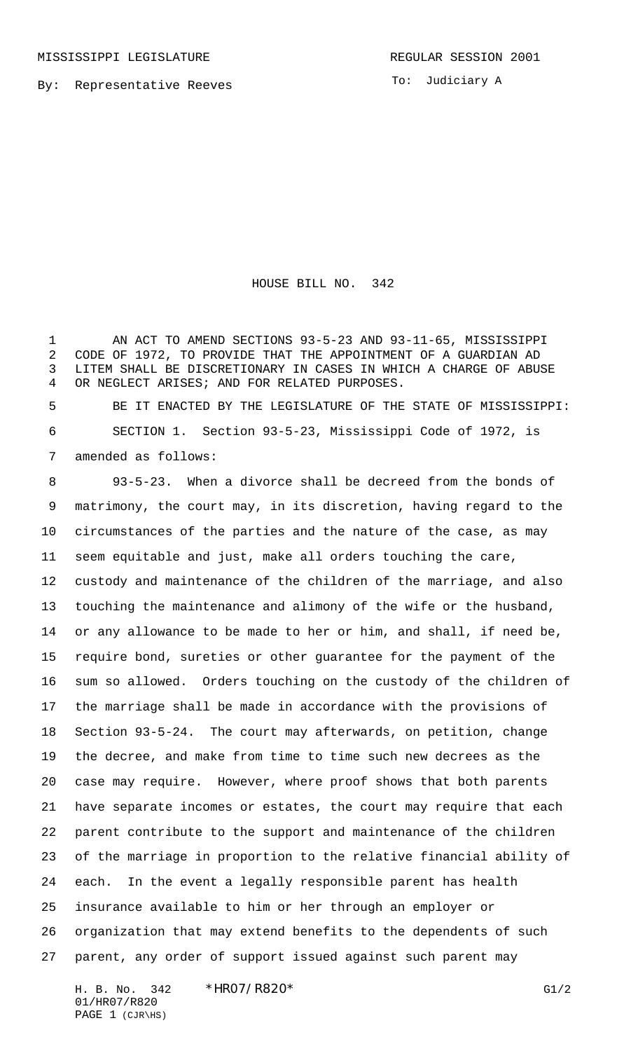By: Representative Reeves

To: Judiciary A

HOUSE BILL NO. 342

 AN ACT TO AMEND SECTIONS 93-5-23 AND 93-11-65, MISSISSIPPI CODE OF 1972, TO PROVIDE THAT THE APPOINTMENT OF A GUARDIAN AD LITEM SHALL BE DISCRETIONARY IN CASES IN WHICH A CHARGE OF ABUSE OR NEGLECT ARISES; AND FOR RELATED PURPOSES.

 BE IT ENACTED BY THE LEGISLATURE OF THE STATE OF MISSISSIPPI: SECTION 1. Section 93-5-23, Mississippi Code of 1972, is amended as follows:

 93-5-23. When a divorce shall be decreed from the bonds of matrimony, the court may, in its discretion, having regard to the circumstances of the parties and the nature of the case, as may seem equitable and just, make all orders touching the care, custody and maintenance of the children of the marriage, and also touching the maintenance and alimony of the wife or the husband, or any allowance to be made to her or him, and shall, if need be, require bond, sureties or other guarantee for the payment of the sum so allowed. Orders touching on the custody of the children of the marriage shall be made in accordance with the provisions of Section 93-5-24. The court may afterwards, on petition, change the decree, and make from time to time such new decrees as the case may require. However, where proof shows that both parents have separate incomes or estates, the court may require that each parent contribute to the support and maintenance of the children of the marriage in proportion to the relative financial ability of each. In the event a legally responsible parent has health insurance available to him or her through an employer or organization that may extend benefits to the dependents of such parent, any order of support issued against such parent may

H. B. No. 342 \*HRO7/R820\* G1/2 01/HR07/R820 PAGE 1 (CJR\HS)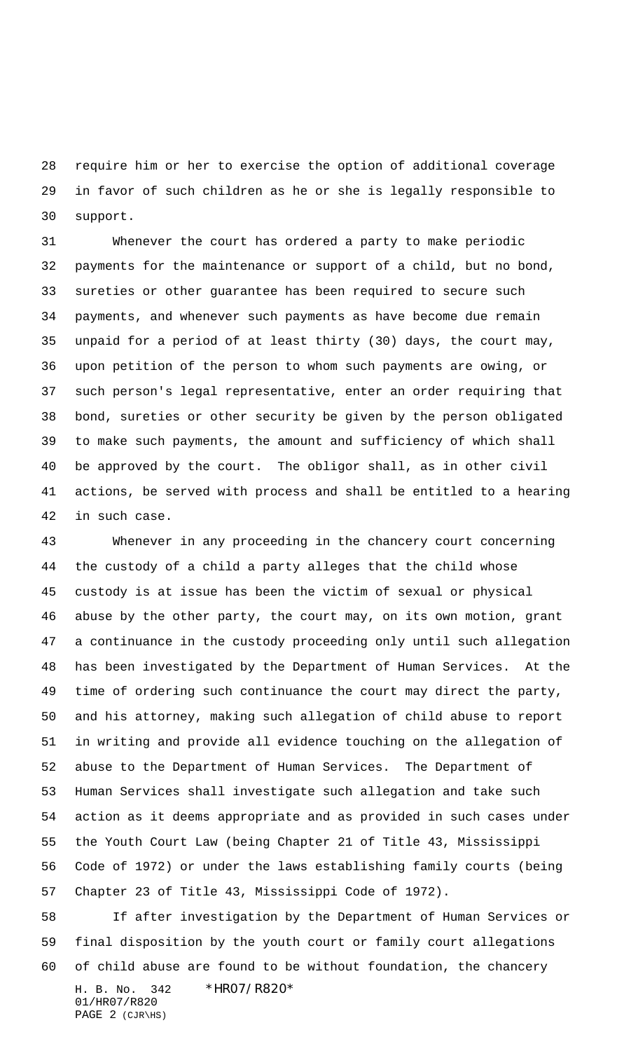require him or her to exercise the option of additional coverage in favor of such children as he or she is legally responsible to support.

 Whenever the court has ordered a party to make periodic payments for the maintenance or support of a child, but no bond, sureties or other guarantee has been required to secure such payments, and whenever such payments as have become due remain unpaid for a period of at least thirty (30) days, the court may, upon petition of the person to whom such payments are owing, or such person's legal representative, enter an order requiring that bond, sureties or other security be given by the person obligated to make such payments, the amount and sufficiency of which shall be approved by the court. The obligor shall, as in other civil actions, be served with process and shall be entitled to a hearing in such case.

 Whenever in any proceeding in the chancery court concerning the custody of a child a party alleges that the child whose custody is at issue has been the victim of sexual or physical abuse by the other party, the court may, on its own motion, grant a continuance in the custody proceeding only until such allegation has been investigated by the Department of Human Services. At the time of ordering such continuance the court may direct the party, and his attorney, making such allegation of child abuse to report in writing and provide all evidence touching on the allegation of abuse to the Department of Human Services. The Department of Human Services shall investigate such allegation and take such action as it deems appropriate and as provided in such cases under the Youth Court Law (being Chapter 21 of Title 43, Mississippi Code of 1972) or under the laws establishing family courts (being Chapter 23 of Title 43, Mississippi Code of 1972).

H. B. No. 342 \*HR07/R820\* 01/HR07/R820 If after investigation by the Department of Human Services or final disposition by the youth court or family court allegations of child abuse are found to be without foundation, the chancery

```
PAGE 2 (CJR\HS)
```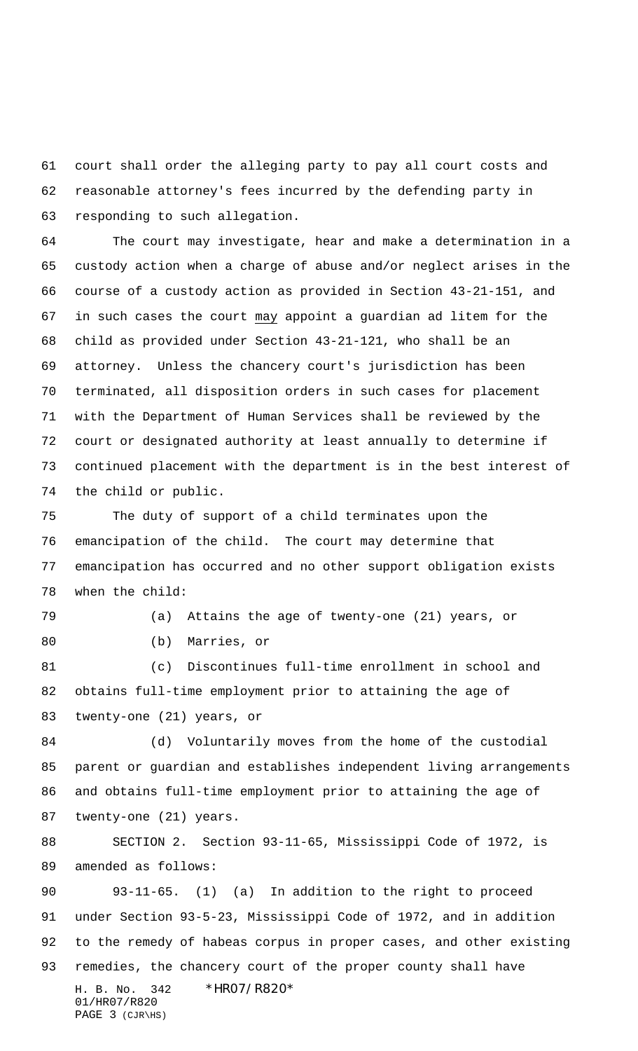court shall order the alleging party to pay all court costs and reasonable attorney's fees incurred by the defending party in responding to such allegation.

 The court may investigate, hear and make a determination in a custody action when a charge of abuse and/or neglect arises in the course of a custody action as provided in Section 43-21-151, and in such cases the court may appoint a guardian ad litem for the child as provided under Section 43-21-121, who shall be an attorney. Unless the chancery court's jurisdiction has been terminated, all disposition orders in such cases for placement with the Department of Human Services shall be reviewed by the court or designated authority at least annually to determine if continued placement with the department is in the best interest of the child or public.

 The duty of support of a child terminates upon the emancipation of the child. The court may determine that emancipation has occurred and no other support obligation exists when the child:

 (a) Attains the age of twenty-one (21) years, or (b) Marries, or

 (c) Discontinues full-time enrollment in school and obtains full-time employment prior to attaining the age of twenty-one (21) years, or

 (d) Voluntarily moves from the home of the custodial parent or guardian and establishes independent living arrangements and obtains full-time employment prior to attaining the age of twenty-one (21) years.

 SECTION 2. Section 93-11-65, Mississippi Code of 1972, is amended as follows:

H. B. No. 342 \*HR07/R820\* 01/HR07/R820 PAGE 3 (CJR\HS) 93-11-65. (1) (a) In addition to the right to proceed under Section 93-5-23, Mississippi Code of 1972, and in addition to the remedy of habeas corpus in proper cases, and other existing remedies, the chancery court of the proper county shall have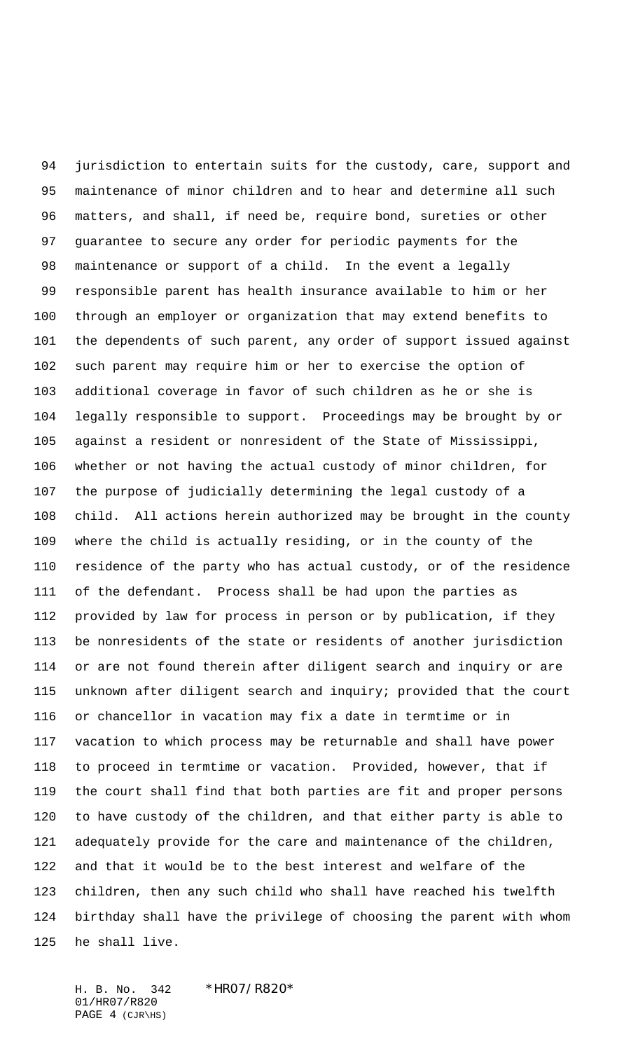jurisdiction to entertain suits for the custody, care, support and maintenance of minor children and to hear and determine all such matters, and shall, if need be, require bond, sureties or other guarantee to secure any order for periodic payments for the maintenance or support of a child. In the event a legally responsible parent has health insurance available to him or her through an employer or organization that may extend benefits to the dependents of such parent, any order of support issued against such parent may require him or her to exercise the option of additional coverage in favor of such children as he or she is legally responsible to support. Proceedings may be brought by or against a resident or nonresident of the State of Mississippi, whether or not having the actual custody of minor children, for the purpose of judicially determining the legal custody of a child. All actions herein authorized may be brought in the county where the child is actually residing, or in the county of the residence of the party who has actual custody, or of the residence of the defendant. Process shall be had upon the parties as provided by law for process in person or by publication, if they be nonresidents of the state or residents of another jurisdiction or are not found therein after diligent search and inquiry or are unknown after diligent search and inquiry; provided that the court or chancellor in vacation may fix a date in termtime or in vacation to which process may be returnable and shall have power to proceed in termtime or vacation. Provided, however, that if the court shall find that both parties are fit and proper persons to have custody of the children, and that either party is able to adequately provide for the care and maintenance of the children, and that it would be to the best interest and welfare of the children, then any such child who shall have reached his twelfth birthday shall have the privilege of choosing the parent with whom he shall live.

H. B. No. 342 \*HR07/R820\* 01/HR07/R820 PAGE 4 (CJR\HS)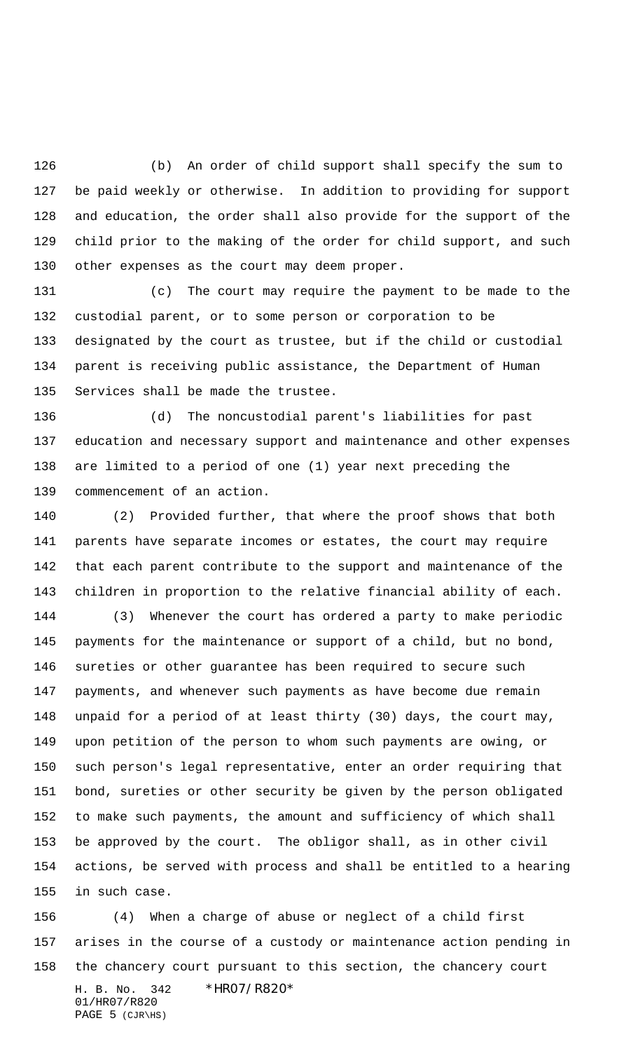(b) An order of child support shall specify the sum to be paid weekly or otherwise. In addition to providing for support and education, the order shall also provide for the support of the child prior to the making of the order for child support, and such other expenses as the court may deem proper.

 (c) The court may require the payment to be made to the custodial parent, or to some person or corporation to be designated by the court as trustee, but if the child or custodial parent is receiving public assistance, the Department of Human Services shall be made the trustee.

 (d) The noncustodial parent's liabilities for past education and necessary support and maintenance and other expenses are limited to a period of one (1) year next preceding the commencement of an action.

 (2) Provided further, that where the proof shows that both parents have separate incomes or estates, the court may require that each parent contribute to the support and maintenance of the children in proportion to the relative financial ability of each.

 (3) Whenever the court has ordered a party to make periodic payments for the maintenance or support of a child, but no bond, sureties or other guarantee has been required to secure such payments, and whenever such payments as have become due remain unpaid for a period of at least thirty (30) days, the court may, upon petition of the person to whom such payments are owing, or such person's legal representative, enter an order requiring that bond, sureties or other security be given by the person obligated to make such payments, the amount and sufficiency of which shall be approved by the court. The obligor shall, as in other civil actions, be served with process and shall be entitled to a hearing in such case.

H. B. No. 342 \*HR07/R820\* 01/HR07/R820 PAGE (CJR\HS) (4) When a charge of abuse or neglect of a child first arises in the course of a custody or maintenance action pending in the chancery court pursuant to this section, the chancery court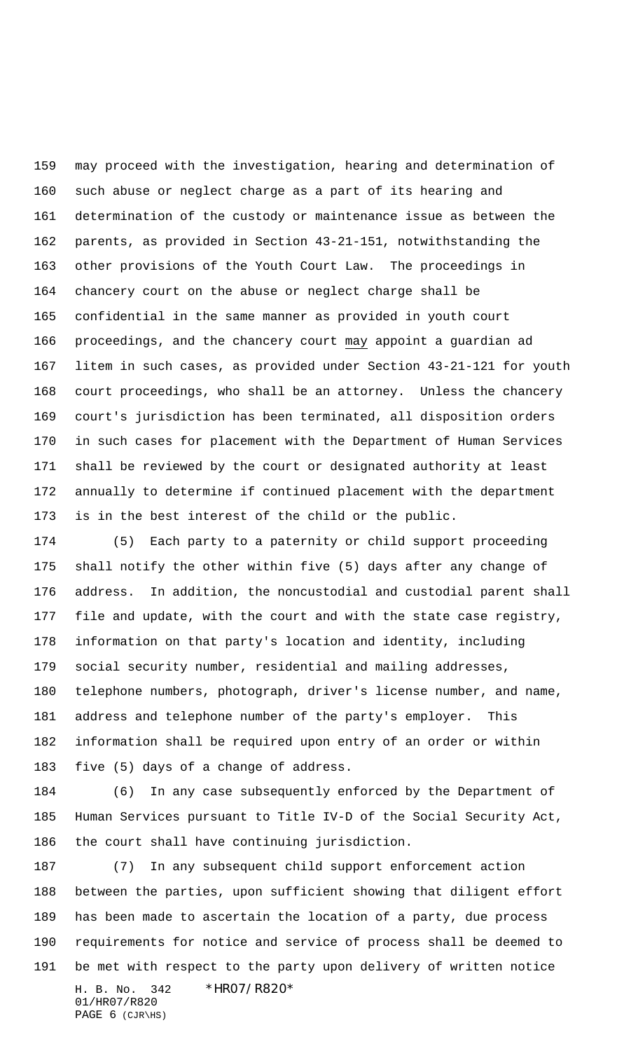may proceed with the investigation, hearing and determination of such abuse or neglect charge as a part of its hearing and determination of the custody or maintenance issue as between the parents, as provided in Section 43-21-151, notwithstanding the other provisions of the Youth Court Law. The proceedings in chancery court on the abuse or neglect charge shall be confidential in the same manner as provided in youth court proceedings, and the chancery court may appoint a guardian ad litem in such cases, as provided under Section 43-21-121 for youth court proceedings, who shall be an attorney. Unless the chancery court's jurisdiction has been terminated, all disposition orders in such cases for placement with the Department of Human Services shall be reviewed by the court or designated authority at least annually to determine if continued placement with the department is in the best interest of the child or the public.

 (5) Each party to a paternity or child support proceeding shall notify the other within five (5) days after any change of address. In addition, the noncustodial and custodial parent shall file and update, with the court and with the state case registry, information on that party's location and identity, including social security number, residential and mailing addresses, telephone numbers, photograph, driver's license number, and name, address and telephone number of the party's employer. This information shall be required upon entry of an order or within five (5) days of a change of address.

 (6) In any case subsequently enforced by the Department of Human Services pursuant to Title IV-D of the Social Security Act, the court shall have continuing jurisdiction.

H. B. No. 342 \*HR07/R820\* 01/HR07/R820 (7) In any subsequent child support enforcement action between the parties, upon sufficient showing that diligent effort has been made to ascertain the location of a party, due process requirements for notice and service of process shall be deemed to be met with respect to the party upon delivery of written notice

```
PAGE 6 (CJR\HS)
```